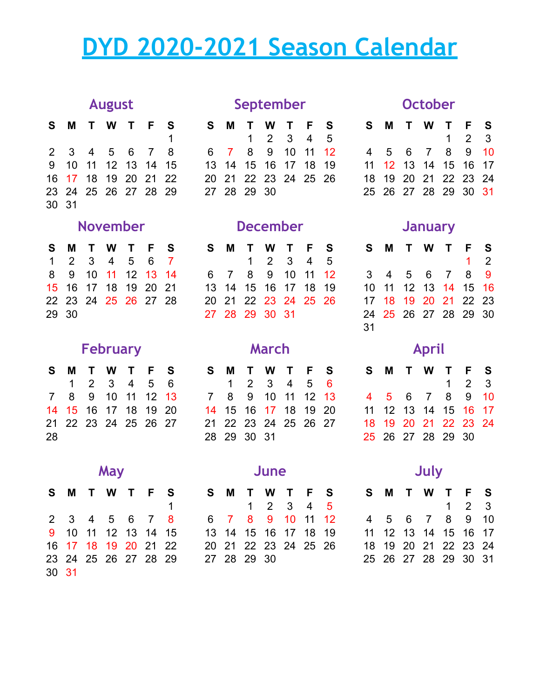# **DYD 2020-2021 Season Calendar**

|       | S M T W T F          |  | - S |  |
|-------|----------------------|--|-----|--|
|       |                      |  | 1   |  |
|       | 2 3 4 5 6 7 8        |  |     |  |
|       | 9 10 11 12 13 14 15  |  |     |  |
|       | 16 17 18 19 20 21 22 |  |     |  |
|       | 23 24 25 26 27 28 29 |  |     |  |
| 30 31 |                      |  |     |  |

|       | S M T W T F S        |  |  |
|-------|----------------------|--|--|
|       | 1 2 3 4 5 6 7        |  |  |
|       | 8 9 10 11 12 13 14   |  |  |
|       | 15 16 17 18 19 20 21 |  |  |
|       | 22 23 24 25 26 27 28 |  |  |
| 29 30 |                      |  |  |

# **February March April**

|    |  | S M T W T F S              |  | S M T W T F S        |  |  |  |  | S M T W T F       |  |
|----|--|----------------------------|--|----------------------|--|--|--|--|-------------------|--|
|    |  | 1 2 3 4 5 6                |  | 1 2 3 4 5 6          |  |  |  |  | $1 \t2$           |  |
|    |  | 7 8 9 10 11 12 13          |  | 7 8 9 10 11 12 13    |  |  |  |  | 4 5 6 7 8 9       |  |
|    |  | 14  15  16  17  18  19  20 |  | 14 15 16 17 18 19 20 |  |  |  |  | 11 12 13 14 15 16 |  |
|    |  | 21 22 23 24 25 26 27       |  | 21 22 23 24 25 26 27 |  |  |  |  | 18 19 20 21 22 23 |  |
| 28 |  |                            |  | 28 29 30 31          |  |  |  |  | 25 26 27 28 29 30 |  |

| S.    |  | M T W T F            | S |
|-------|--|----------------------|---|
|       |  |                      | 1 |
|       |  | 2 3 4 5 6 7 8        |   |
|       |  | 9 10 11 12 13 14 15  |   |
|       |  | 16 17 18 19 20 21 22 |   |
|       |  | 23 24 25 26 27 28 29 |   |
| 30 31 |  |                      |   |

# **August September October**

|  |                      |  | S M T W T F S        | S M T W T F S                  |                      |  |  |  |  | S M T W T F S        |  |  |
|--|----------------------|--|----------------------|--------------------------------|----------------------|--|--|--|--|----------------------|--|--|
|  |                      |  |                      | 1 1 2 3 4 5                    |                      |  |  |  |  | $1 \t2 \t3$          |  |  |
|  |                      |  |                      | 2 3 4 5 6 7 8 6 7 8 9 10 11 12 |                      |  |  |  |  | 4 5 6 7 8 9 10       |  |  |
|  | 9 10 11 12 13 14 15  |  |                      |                                | 13 14 15 16 17 18 19 |  |  |  |  | 11 12 13 14 15 16 17 |  |  |
|  | 16 17 18 19 20 21 22 |  |                      |                                | 20 21 22 23 24 25 26 |  |  |  |  | 18 19 20 21 22 23 24 |  |  |
|  |                      |  | 23 24 25 26 27 28 29 | 27 28 29 30                    |                      |  |  |  |  | 25 26 27 28 29 30 31 |  |  |

### **November December January**

|                                        |  |  | S M T W T F S |                                     |                      |  |  | SMTWTFS SMTWTFS |  |                      |             |  |
|----------------------------------------|--|--|---------------|-------------------------------------|----------------------|--|--|-----------------|--|----------------------|-------------|--|
|                                        |  |  | 1 2 3 4 5 6 7 |                                     | 1 2 3 4 5            |  |  |                 |  |                      | $1 \quad 2$ |  |
|                                        |  |  |               | 8 9 10 11 12 13 14 6 7 8 9 10 11 12 |                      |  |  |                 |  | 3 4 5 6 7 8 9        |             |  |
| 15    16    17    18    19    20    21 |  |  |               |                                     | 13 14 15 16 17 18 19 |  |  |                 |  | 10 11 12 13 14 15 16 |             |  |
| 22 23 24 25 26 27 28                   |  |  |               |                                     | 20 21 22 23 24 25 26 |  |  |                 |  | 17 18 19 20 21 22 23 |             |  |
| 29 30                                  |  |  |               |                                     | 27 28 29 30 31       |  |  |                 |  |                      |             |  |

|    | S M T W T F S        |             |  |  |                      |  |  | S M T W T F S | S M T W T F S        |  |  |  |
|----|----------------------|-------------|--|--|----------------------|--|--|---------------|----------------------|--|--|--|
|    |                      | 1 2 3 4 5 6 |  |  | 1 2 3 4 5 6          |  |  |               | 123                  |  |  |  |
|    | 7 8 9 10 11 12 13    |             |  |  | 7 8 9 10 11 12 13    |  |  |               | 4 5 6 7 8 9 10       |  |  |  |
|    | 14 15 16 17 18 19 20 |             |  |  | 14 15 16 17 18 19 20 |  |  |               | 11 12 13 14 15 16 17 |  |  |  |
|    | 21 22 23 24 25 26 27 |             |  |  | 21 22 23 24 25 26 27 |  |  |               | 18 19 20 21 22 23 24 |  |  |  |
| 28 |                      |             |  |  | 28 29 30 31          |  |  |               | 25 26 27 28 29 30    |  |  |  |

| S.             | S M T W T F S        |           |  |  | S M T W T F S  |  |                                             |  |
|----------------|----------------------|-----------|--|--|----------------|--|---------------------------------------------|--|
| 1              |                      | 1 2 3 4 5 |  |  |                |  | $\begin{array}{cccc} 1 & 2 & 3 \end{array}$ |  |
| 8.             | 6 7 8 9 10 11 12     |           |  |  | 4 5 6 7 8 9 10 |  |                                             |  |
| 15             | 13 14 15 16 17 18 19 |           |  |  |                |  | 11 12 13 14 15 16 17                        |  |
| 22 -           | 20 21 22 23 24 25 26 |           |  |  |                |  | 18 19 20 21 22 23 24                        |  |
| 29 27 28 29 30 |                      |           |  |  |                |  | 25 26 27 28 29 30 31                        |  |
|                |                      |           |  |  |                |  |                                             |  |

|  |  | S M T W T F S        |                   |  |
|--|--|----------------------|-------------------|--|
|  |  |                      | $1\quad 2\quad 3$ |  |
|  |  | 4 5 6 7 8 9 10       |                   |  |
|  |  | 11 12 13 14 15 16 17 |                   |  |
|  |  | 18 19 20 21 22 23 24 |                   |  |
|  |  | 25 26 27 28 29 30 31 |                   |  |

|       |  | S M T W T F S        |                    |                      |                      |  |  | SMTWTFS SMTWTFS      |  |  |                      |  |
|-------|--|----------------------|--------------------|----------------------|----------------------|--|--|----------------------|--|--|----------------------|--|
|       |  | 1 2 3 4 5 6 7        |                    |                      | 1 2 3 4 5            |  |  |                      |  |  | $\overline{1}$ 2     |  |
|       |  |                      | 8 9 10 11 12 13 14 | 6 7 8 9 10 11 12     |                      |  |  |                      |  |  | 3 4 5 6 7 8 9        |  |
|       |  | 15 16 17 18 19 20 21 |                    | 13 14 15 16 17 18 19 |                      |  |  |                      |  |  | 10 11 12 13 14 15 16 |  |
|       |  |                      |                    |                      | 20 21 22 23 24 25 26 |  |  |                      |  |  | 17 18 19 20 21 22 23 |  |
| 29 30 |  |                      |                    |                      |                      |  |  | 24 25 26 27 28 29 30 |  |  |                      |  |
|       |  |                      |                    |                      |                      |  |  | 31                   |  |  |                      |  |

|  |  | S M T W T F S        |                   |  |
|--|--|----------------------|-------------------|--|
|  |  |                      | $1\quad 2\quad 3$ |  |
|  |  | 4 5 6 7 8 9 10       |                   |  |
|  |  | 11 12 13 14 15 16 17 |                   |  |
|  |  | 18 19 20 21 22 23 24 |                   |  |
|  |  | 25 26 27 28 29 30    |                   |  |

## **May June July S M T W T F S S M T W T F S S M T W T F S** 4 5 6 7 8 9 10 11 12 13 14 15 16 17 17 18 19 20 21 22 20 21 22 23 24 25 26 18 19 20 21 22 23 24 24 25 26 27 28 29 27 28 29 30 25 26 27 28 29 30 31